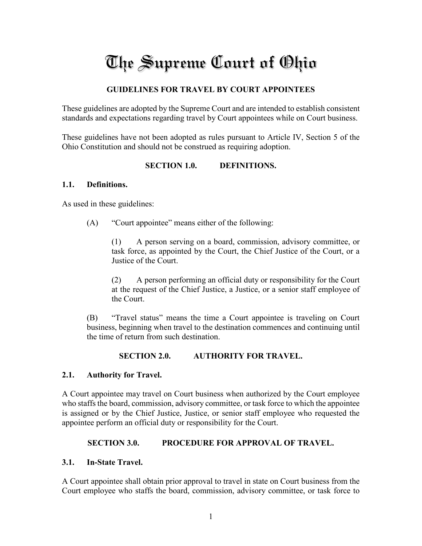# The Supreme Court of Ohio

# **GUIDELINES FOR TRAVEL BY COURT APPOINTEES**

These guidelines are adopted by the Supreme Court and are intended to establish consistent standards and expectations regarding travel by Court appointees while on Court business.

These guidelines have not been adopted as rules pursuant to Article IV, Section 5 of the Ohio Constitution and should not be construed as requiring adoption.

#### **SECTION 1.0. DEFINITIONS.**

#### **1.1. Definitions.**

As used in these guidelines:

(A) "Court appointee" means either of the following:

(1) A person serving on a board, commission, advisory committee, or task force, as appointed by the Court, the Chief Justice of the Court, or a Justice of the Court.

(2) A person performing an official duty or responsibility for the Court at the request of the Chief Justice, a Justice, or a senior staff employee of the Court.

(B) "Travel status" means the time a Court appointee is traveling on Court business, beginning when travel to the destination commences and continuing until the time of return from such destination.

#### **SECTION 2.0. AUTHORITY FOR TRAVEL.**

#### **2.1. Authority for Travel.**

A Court appointee may travel on Court business when authorized by the Court employee who staffs the board, commission, advisory committee, or task force to which the appointee is assigned or by the Chief Justice, Justice, or senior staff employee who requested the appointee perform an official duty or responsibility for the Court.

#### **SECTION 3.0. PROCEDURE FOR APPROVAL OF TRAVEL.**

#### **3.1. In-State Travel.**

A Court appointee shall obtain prior approval to travel in state on Court business from the Court employee who staffs the board, commission, advisory committee, or task force to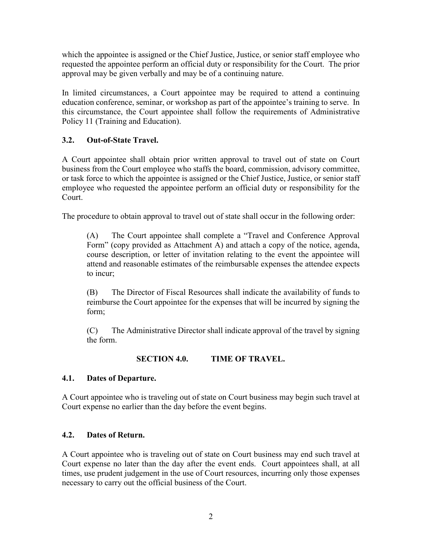which the appointee is assigned or the Chief Justice, Justice, or senior staff employee who requested the appointee perform an official duty or responsibility for the Court. The prior approval may be given verbally and may be of a continuing nature.

In limited circumstances, a Court appointee may be required to attend a continuing education conference, seminar, or workshop as part of the appointee's training to serve. In this circumstance, the Court appointee shall follow the requirements of Administrative Policy 11 (Training and Education).

# **3.2. Out-of-State Travel.**

A Court appointee shall obtain prior written approval to travel out of state on Court business from the Court employee who staffs the board, commission, advisory committee, or task force to which the appointee is assigned or the Chief Justice, Justice, or senior staff employee who requested the appointee perform an official duty or responsibility for the Court.

The procedure to obtain approval to travel out of state shall occur in the following order:

(A) The Court appointee shall complete a "Travel and Conference Approval Form" (copy provided as Attachment A) and attach a copy of the notice, agenda, course description, or letter of invitation relating to the event the appointee will attend and reasonable estimates of the reimbursable expenses the attendee expects to incur;

(B) The Director of Fiscal Resources shall indicate the availability of funds to reimburse the Court appointee for the expenses that will be incurred by signing the form;

(C) The Administrative Director shall indicate approval of the travel by signing the form.

# **SECTION 4.0. TIME OF TRAVEL.**

# **4.1. Dates of Departure.**

A Court appointee who is traveling out of state on Court business may begin such travel at Court expense no earlier than the day before the event begins.

# **4.2. Dates of Return.**

A Court appointee who is traveling out of state on Court business may end such travel at Court expense no later than the day after the event ends. Court appointees shall, at all times, use prudent judgement in the use of Court resources, incurring only those expenses necessary to carry out the official business of the Court.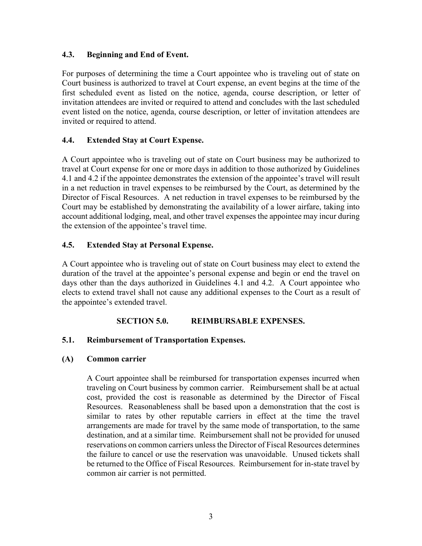## **4.3. Beginning and End of Event.**

For purposes of determining the time a Court appointee who is traveling out of state on Court business is authorized to travel at Court expense, an event begins at the time of the first scheduled event as listed on the notice, agenda, course description, or letter of invitation attendees are invited or required to attend and concludes with the last scheduled event listed on the notice, agenda, course description, or letter of invitation attendees are invited or required to attend.

## **4.4. Extended Stay at Court Expense.**

A Court appointee who is traveling out of state on Court business may be authorized to travel at Court expense for one or more days in addition to those authorized by Guidelines 4.1 and 4.2 if the appointee demonstrates the extension of the appointee's travel will result in a net reduction in travel expenses to be reimbursed by the Court, as determined by the Director of Fiscal Resources. A net reduction in travel expenses to be reimbursed by the Court may be established by demonstrating the availability of a lower airfare, taking into account additional lodging, meal, and other travel expenses the appointee may incur during the extension of the appointee's travel time.

## **4.5. Extended Stay at Personal Expense.**

A Court appointee who is traveling out of state on Court business may elect to extend the duration of the travel at the appointee's personal expense and begin or end the travel on days other than the days authorized in Guidelines 4.1 and 4.2. A Court appointee who elects to extend travel shall not cause any additional expenses to the Court as a result of the appointee's extended travel.

# **SECTION 5.0. REIMBURSABLE EXPENSES.**

#### **5.1. Reimbursement of Transportation Expenses.**

#### **(A) Common carrier**

A Court appointee shall be reimbursed for transportation expenses incurred when traveling on Court business by common carrier. Reimbursement shall be at actual cost, provided the cost is reasonable as determined by the Director of Fiscal Resources. Reasonableness shall be based upon a demonstration that the cost is similar to rates by other reputable carriers in effect at the time the travel arrangements are made for travel by the same mode of transportation, to the same destination, and at a similar time. Reimbursement shall not be provided for unused reservations on common carriers unless the Director of Fiscal Resources determines the failure to cancel or use the reservation was unavoidable. Unused tickets shall be returned to the Office of Fiscal Resources. Reimbursement for in-state travel by common air carrier is not permitted.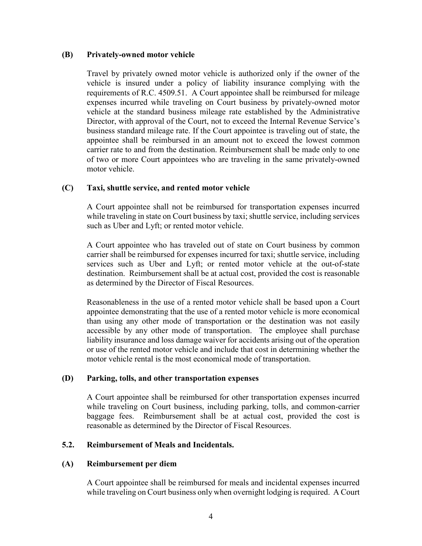#### **(B) Privately-owned motor vehicle**

Travel by privately owned motor vehicle is authorized only if the owner of the vehicle is insured under a policy of liability insurance complying with the requirements of R.C. 4509.51. A Court appointee shall be reimbursed for mileage expenses incurred while traveling on Court business by privately-owned motor vehicle at the standard business mileage rate established by the Administrative Director, with approval of the Court, not to exceed the Internal Revenue Service's business standard mileage rate. If the Court appointee is traveling out of state, the appointee shall be reimbursed in an amount not to exceed the lowest common carrier rate to and from the destination. Reimbursement shall be made only to one of two or more Court appointees who are traveling in the same privately-owned motor vehicle.

#### **(C) Taxi, shuttle service, and rented motor vehicle**

A Court appointee shall not be reimbursed for transportation expenses incurred while traveling in state on Court business by taxi; shuttle service, including services such as Uber and Lyft; or rented motor vehicle.

A Court appointee who has traveled out of state on Court business by common carrier shall be reimbursed for expenses incurred for taxi; shuttle service, including services such as Uber and Lyft; or rented motor vehicle at the out-of-state destination. Reimbursement shall be at actual cost, provided the cost is reasonable as determined by the Director of Fiscal Resources.

Reasonableness in the use of a rented motor vehicle shall be based upon a Court appointee demonstrating that the use of a rented motor vehicle is more economical than using any other mode of transportation or the destination was not easily accessible by any other mode of transportation. The employee shall purchase liability insurance and loss damage waiver for accidents arising out of the operation or use of the rented motor vehicle and include that cost in determining whether the motor vehicle rental is the most economical mode of transportation.

#### **(D) Parking, tolls, and other transportation expenses**

A Court appointee shall be reimbursed for other transportation expenses incurred while traveling on Court business, including parking, tolls, and common-carrier baggage fees. Reimbursement shall be at actual cost, provided the cost is reasonable as determined by the Director of Fiscal Resources.

#### **5.2. Reimbursement of Meals and Incidentals.**

#### **(A) Reimbursement per diem**

A Court appointee shall be reimbursed for meals and incidental expenses incurred while traveling on Court business only when overnight lodging is required. A Court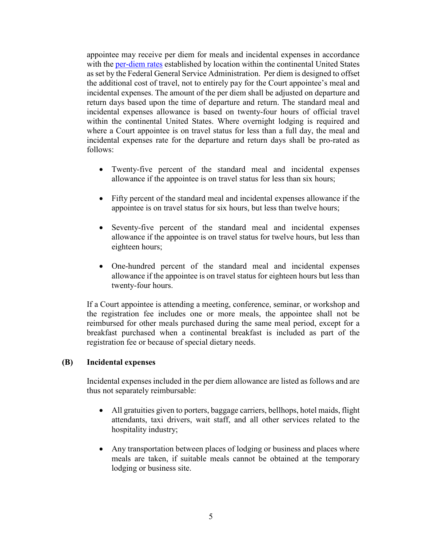appointee may receive per diem for meals and incidental expenses in accordance with the [per-diem rates](https://www.gsa.gov/travel/plan-book/per-diem-rates) established by location within the continental United States as set by the Federal General Service Administration. Per diem is designed to offset the additional cost of travel, not to entirely pay for the Court appointee's meal and incidental expenses. The amount of the per diem shall be adjusted on departure and return days based upon the time of departure and return. The standard meal and incidental expenses allowance is based on twenty-four hours of official travel within the continental United States. Where overnight lodging is required and where a Court appointee is on travel status for less than a full day, the meal and incidental expenses rate for the departure and return days shall be pro-rated as follows:

- Twenty-five percent of the standard meal and incidental expenses allowance if the appointee is on travel status for less than six hours;
- Fifty percent of the standard meal and incidental expenses allowance if the appointee is on travel status for six hours, but less than twelve hours;
- Seventy-five percent of the standard meal and incidental expenses allowance if the appointee is on travel status for twelve hours, but less than eighteen hours;
- One-hundred percent of the standard meal and incidental expenses allowance if the appointee is on travel status for eighteen hours but less than twenty-four hours.

If a Court appointee is attending a meeting, conference, seminar, or workshop and the registration fee includes one or more meals, the appointee shall not be reimbursed for other meals purchased during the same meal period, except for a breakfast purchased when a continental breakfast is included as part of the registration fee or because of special dietary needs.

#### **(B) Incidental expenses**

Incidental expenses included in the per diem allowance are listed as follows and are thus not separately reimbursable:

- All gratuities given to porters, baggage carriers, bellhops, hotel maids, flight attendants, taxi drivers, wait staff, and all other services related to the hospitality industry;
- Any transportation between places of lodging or business and places where meals are taken, if suitable meals cannot be obtained at the temporary lodging or business site.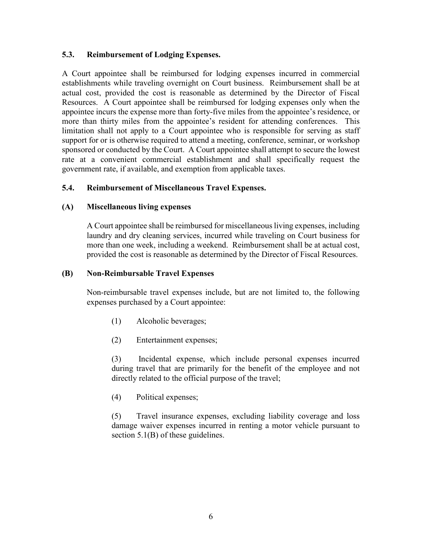### **5.3. Reimbursement of Lodging Expenses.**

A Court appointee shall be reimbursed for lodging expenses incurred in commercial establishments while traveling overnight on Court business. Reimbursement shall be at actual cost, provided the cost is reasonable as determined by the Director of Fiscal Resources. A Court appointee shall be reimbursed for lodging expenses only when the appointee incurs the expense more than forty-five miles from the appointee's residence, or more than thirty miles from the appointee's resident for attending conferences. This limitation shall not apply to a Court appointee who is responsible for serving as staff support for or is otherwise required to attend a meeting, conference, seminar, or workshop sponsored or conducted by the Court. A Court appointee shall attempt to secure the lowest rate at a convenient commercial establishment and shall specifically request the government rate, if available, and exemption from applicable taxes.

# **5.4. Reimbursement of Miscellaneous Travel Expenses.**

#### **(A) Miscellaneous living expenses**

A Court appointee shall be reimbursed for miscellaneous living expenses, including laundry and dry cleaning services, incurred while traveling on Court business for more than one week, including a weekend. Reimbursement shall be at actual cost, provided the cost is reasonable as determined by the Director of Fiscal Resources.

#### **(B) Non-Reimbursable Travel Expenses**

Non-reimbursable travel expenses include, but are not limited to, the following expenses purchased by a Court appointee:

- (1) Alcoholic beverages;
- (2) Entertainment expenses;

(3) Incidental expense, which include personal expenses incurred during travel that are primarily for the benefit of the employee and not directly related to the official purpose of the travel;

(4) Political expenses;

(5) Travel insurance expenses, excluding liability coverage and loss damage waiver expenses incurred in renting a motor vehicle pursuant to section 5.1(B) of these guidelines.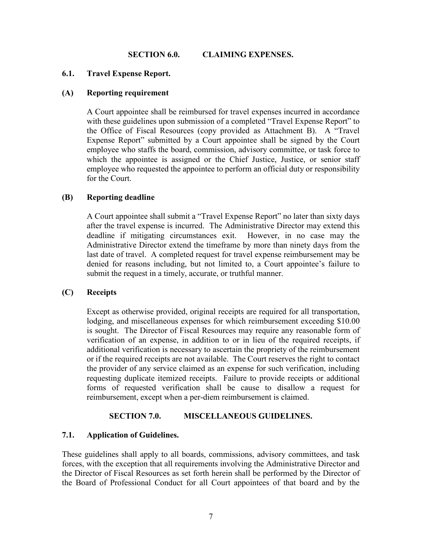#### **SECTION 6.0. CLAIMING EXPENSES.**

## **6.1. Travel Expense Report.**

#### **(A) Reporting requirement**

A Court appointee shall be reimbursed for travel expenses incurred in accordance with these guidelines upon submission of a completed "Travel Expense Report" to the Office of Fiscal Resources (copy provided as Attachment B). A "Travel Expense Report" submitted by a Court appointee shall be signed by the Court employee who staffs the board, commission, advisory committee, or task force to which the appointee is assigned or the Chief Justice, Justice, or senior staff employee who requested the appointee to perform an official duty or responsibility for the Court.

#### **(B) Reporting deadline**

A Court appointee shall submit a "Travel Expense Report" no later than sixty days after the travel expense is incurred. The Administrative Director may extend this deadline if mitigating circumstances exit. However, in no case may the Administrative Director extend the timeframe by more than ninety days from the last date of travel. A completed request for travel expense reimbursement may be denied for reasons including, but not limited to, a Court appointee's failure to submit the request in a timely, accurate, or truthful manner.

#### **(C) Receipts**

Except as otherwise provided, original receipts are required for all transportation, lodging, and miscellaneous expenses for which reimbursement exceeding \$10.00 is sought. The Director of Fiscal Resources may require any reasonable form of verification of an expense, in addition to or in lieu of the required receipts, if additional verification is necessary to ascertain the propriety of the reimbursement or if the required receipts are not available. The Court reserves the right to contact the provider of any service claimed as an expense for such verification, including requesting duplicate itemized receipts. Failure to provide receipts or additional forms of requested verification shall be cause to disallow a request for reimbursement, except when a per-diem reimbursement is claimed.

#### **SECTION 7.0. MISCELLANEOUS GUIDELINES.**

#### **7.1. Application of Guidelines.**

These guidelines shall apply to all boards, commissions, advisory committees, and task forces, with the exception that all requirements involving the Administrative Director and the Director of Fiscal Resources as set forth herein shall be performed by the Director of the Board of Professional Conduct for all Court appointees of that board and by the